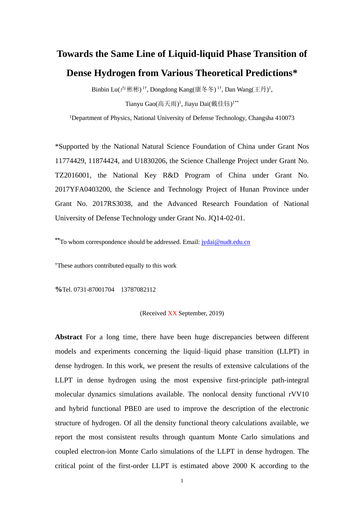## **Towards the Same Line of Liquid-liquid Phase Transition of Dense Hydrogen from Various Theoretical Predictions\***

Binbin Lu(卢彬彬) <sup>1†</sup>, Dongdong Kang(康冬冬) <sup>1†</sup>, Dan Wang(王丹)<sup>1</sup>, Tianyu Gao(高天雨)<sup>1</sup>, Jiayu Dai(戴佳钰)<sup>1\*\*</sup>

<sup>1</sup>Department of Physics, National University of Defense Technology, Changsha 410073

\*Supported by the National Natural Science Foundation of China under Grant Nos 11774429, 11874424, and U1830206, the Science Challenge Project under Grant No. TZ2016001, the National Key R&D Program of China under Grant No. 2017YFA0403200, the Science and Technology Project of Hunan Province under Grant No. 2017RS3038, and the Advanced Research Foundation of National University of Defense Technology under Grant No. JQ14-02-01.

**\*\***To whom correspondence should be addressed. Email[: jydai@nudt.edu.cn](mailto:jydai@nudt.edu.cn)

†These authors contributed equally to this work

**%**Tel. 0731-87001704 13787082112

## (Received XX September, 2019)

**Abstract** For a long time, there have been huge discrepancies between different models and experiments concerning the liquid–liquid phase transition (LLPT) in dense hydrogen. In this work, we present the results of extensive calculations of the LLPT in dense hydrogen using the most expensive first-principle path-integral molecular dynamics simulations available. The nonlocal density functional rVV10 and hybrid functional PBE0 are used to improve the description of the electronic structure of hydrogen. Of all the density functional theory calculations available, we report the most consistent results through quantum Monte Carlo simulations and coupled electron-ion Monte Carlo simulations of the LLPT in dense hydrogen. The critical point of the first-order LLPT is estimated above 2000 K according to the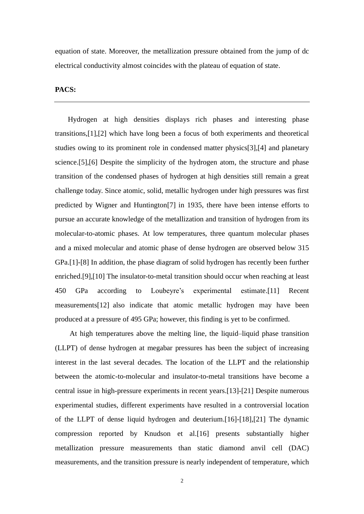equation of state. Moreover, the metallization pressure obtained from the jump of dc electrical conductivity almost coincides with the plateau of equation of state.

## **PACS:**

Hydrogen at high densities displays rich phases and interesting phase transitions[,\[1\]](#page-11-0)[,\[2\]](#page-11-1) which have long been a focus of both experiments and theoretical studies owing to its prominent role in condensed matter physic[s\[3\]](#page-11-2)[,\[4\]](#page-11-3) and planetary science[.\[5\]](#page-12-0)[,\[6\]](#page-12-1) Despite the simplicity of the hydrogen atom, the structure and phase transition of the condensed phases of hydrogen at high densities still remain a great challenge today. Since atomic, solid, metallic hydrogen under high pressures was first predicted by Wigner and Huntingto[n\[7\]](#page-12-2) in 1935, there have been intense efforts to pursue an accurate knowledge of the metallization and transition of hydrogen from its molecular-to-atomic phases. At low temperatures, three quantum molecular phases and a mixed molecular and atomic phase of dense hydrogen are observed below 315 GPa[.\[1\]](#page-11-0)[-\[8\]](#page-12-3) In addition, the phase diagram of solid hydrogen has recently been further enriched[.\[9\]](#page-12-4)[,\[10\]](#page-12-5) The insulator-to-metal transition should occur when reaching at least 450 GPa according to Loubeyre's experimental estimate[.\[11\]](#page-12-6) Recent measurement[s\[12\]](#page-12-7) also indicate that atomic metallic hydrogen may have been produced at a pressure of 495 GPa; however, this finding is yet to be confirmed.

At high temperatures above the melting line, the liquid–liquid phase transition (LLPT) of dense hydrogen at megabar pressures has been the subject of increasing interest in the last several decades. The location of the LLPT and the relationship between the atomic-to-molecular and insulator-to-metal transitions have become a central issue in high-pressure experiments in recent years[.\[13\]](#page-12-8)[-\[21\]](#page-12-9) Despite numerous experimental studies, different experiments have resulted in a controversial location of the LLPT of dense liquid hydrogen and deuterium[.\[16\]](#page-12-10)[-\[18\]](#page-12-11)[,\[21\]](#page-12-9) The dynamic compression reported by Knudson et al[.\[16\]](#page-12-10) presents substantially higher metallization pressure measurements than static diamond anvil cell (DAC) measurements, and the transition pressure is nearly independent of temperature, which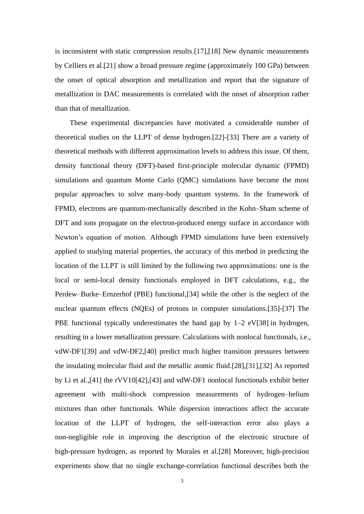is inconsistent with static compression results[.\[17\],](#page-12-12)[\[18\]](#page-12-11) New dynamic measurements by Celliers et al[.\[21\]](#page-12-9) show a broad pressure regime (approximately 100 GPa) between the onset of optical absorption and metallization and report that the signature of metallization in DAC measurements is correlated with the onset of absorption rather than that of metallization.

These experimental discrepancies have motivated a considerable number of theoretical studies on the LLPT of dense hydrogen[.\[22\]](#page-12-13)[-\[33\]](#page-13-0) There are a variety of theoretical methods with different approximation levels to address this issue. Of them, density functional theory (DFT)-based first-principle molecular dynamic (FPMD) simulations and quantum Monte Carlo (QMC) simulations have become the most popular approaches to solve many-body quantum systems. In the framework of FPMD, electrons are quantum-mechanically described in the Kohn–Sham scheme of DFT and ions propagate on the electron-produced energy surface in accordance with Newton's equation of motion. Although FPMD simulations have been extensively applied to studying material properties, the accuracy of this method in predicting the location of the LLPT is still limited by the following two approximations: one is the local or semi-local density functionals employed in DFT calculations, e.g., the Perdew–Burke–Ernzerhof (PBE) functional[,\[34\]](#page-13-1) while the other is the neglect of the nuclear quantum effects (NQEs) of protons in computer simulations[.\[35\]](#page-13-2)[-\[37\]](#page-13-3) The PBE functional typically underestimates the band gap by  $1-2$  e[V\[38\]](#page-13-4) in hydrogen, resulting in a lower metallization pressure. Calculations with nonlocal functionals, i.e., vdW-DF[1\[39\]](#page-13-5) and vdW-DF2[,\[40\]](#page-13-6) predict much higher transition pressures between the insulating molecular fluid and the metallic atomic fluid[.\[28\]](#page-12-14)[,\[31\]](#page-13-7)[,\[32\]](#page-13-8) As reported by Li et al.[,\[41\]](#page-13-9) the rVV1[0\[42\]](#page-13-10)[,\[43\]](#page-13-11) and vdW-DF1 nonlocal functionals exhibit better agreement with multi-shock compression measurements of hydrogen–helium mixtures than other functionals. While dispersion interactions affect the accurate location of the LLPT of hydrogen, the self-interaction error also plays a non-negligible role in improving the description of the electronic structure of high-pressure hydrogen, as reported by Morales et al[.\[28\]](#page-12-14) Moreover, high-precision experiments show that no single exchange-correlation functional describes both the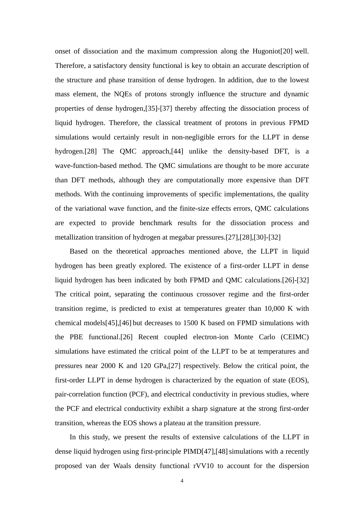onset of dissociation and the maximum compression along the Hugonio[t\[20\]](#page-12-15) well. Therefore, a satisfactory density functional is key to obtain an accurate description of the structure and phase transition of dense hydrogen. In addition, due to the lowest mass element, the NQEs of protons strongly influence the structure and dynamic properties of dense hydrogen[,\[35\]](#page-13-2)[-\[37\]](#page-13-3) thereby affecting the dissociation process of liquid hydrogen. Therefore, the classical treatment of protons in previous FPMD simulations would certainly result in non-negligible errors for the LLPT in dense hydrogen[.\[28\]](#page-12-14) The QMC approach[,\[44\]](#page-13-12) unlike the density-based DFT, is a wave-function-based method. The QMC simulations are thought to be more accurate than DFT methods, although they are computationally more expensive than DFT methods. With the continuing improvements of specific implementations, the quality of the variational wave function, and the finite-size effects errors, QMC calculations are expected to provide benchmark results for the dissociation process and metallization transition of hydrogen at megabar pressures[.\[27\]](#page-12-16)[,\[28\]](#page-12-14)[,\[30\]](#page-13-13)[-\[32\]](#page-13-8)

Based on the theoretical approaches mentioned above, the LLPT in liquid hydrogen has been greatly explored. The existence of a first-order LLPT in dense liquid hydrogen has been indicated by both FPMD and QMC calculations[.\[26\]](#page-12-17)[-\[32\]](#page-13-8) The critical point, separating the continuous crossover regime and the first-order transition regime, is predicted to exist at temperatures greater than 10,000 K with chemical model[s\[45\]](#page-13-14)[,\[46\]](#page-13-15) but decreases to 1500 K based on FPMD simulations with the PBE functional[.\[26\]](#page-12-17) Recent coupled electron-ion Monte Carlo (CEIMC) simulations have estimated the critical point of the LLPT to be at temperatures and pressures near 2000 K and 120 GPa[,\[27\]](#page-12-16) respectively. Below the critical point, the first-order LLPT in dense hydrogen is characterized by the equation of state (EOS), pair-correlation function (PCF), and electrical conductivity in previous studies, where the PCF and electrical conductivity exhibit a sharp signature at the strong first-order transition, whereas the EOS shows a plateau at the transition pressure.

In this study, we present the results of extensive calculations of the LLPT in dense liquid hydrogen using first-principle PIM[D\[47\]](#page-13-16),[48] simulations with a recently proposed van der Waals density functional rVV10 to account for the dispersion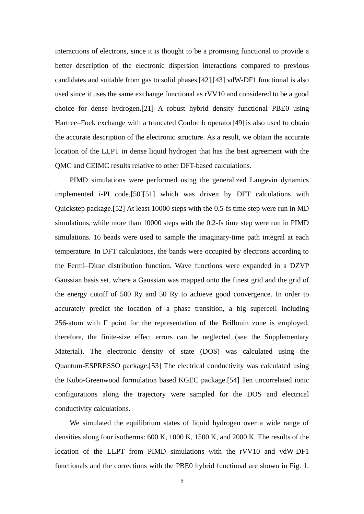interactions of electrons, since it is thought to be a promising functional to provide a better description of the electronic dispersion interactions compared to previous candidates and suitable from gas to solid phases[.\[42\]](#page-13-10)[,\[43\]](#page-13-11) vdW-DF1 functional is also used since it uses the same exchange functional as rVV10 and considered to be a good choice for dense hydrogen[.\[21\]](#page-12-9) A robust hybrid density functional PBE0 using Hartree–Fock exchange with a truncated Coulomb operato[r\[49\]](#page-13-18) is also used to obtain the accurate description of the electronic structure. As a result, we obtain the accurate location of the LLPT in dense liquid hydrogen that has the best agreement with the QMC and CEIMC results relative to other DFT-based calculations.

PIMD simulations were performed using the generalized Langevin dynamics implemented i-PI code[,\[50\]](#page-13-19)[\[51\]](#page-13-20) which was driven by DFT calculations with Quickstep package[.\[52\]](#page-13-21) At least 10000 steps with the 0.5-fs time step were run in MD simulations, while more than 10000 steps with the 0.2-fs time step were run in PIMD simulations. 16 beads were used to sample the imaginary-time path integral at each temperature. In DFT calculations, the bands were occupied by electrons according to the Fermi–Dirac distribution function. Wave functions were expanded in a DZVP Gaussian basis set, where a Gaussian was mapped onto the finest grid and the grid of the energy cutoff of 500 Ry and 50 Ry to achieve good convergence. In order to accurately predict the location of a phase transition, a big supercell including 256-atom with Γ point for the representation of the Brillouin zone is employed, therefore, the finite-size effect errors can be neglected (see the Supplementary Material). The electronic density of state (DOS) was calculated using the Quantum-ESPRESSO package[.\[53\]](#page-14-0) The electrical conductivity was calculated using the Kubo-Greenwood formulation based KGEC package[.\[54\]](#page-14-1) Ten uncorrelated ionic configurations along the trajectory were sampled for the DOS and electrical conductivity calculations.

We simulated the equilibrium states of liquid hydrogen over a wide range of densities along four isotherms: 600 K, 1000 K, 1500 K, and 2000 K. The results of the location of the LLPT from PIMD simulations with the rVV10 and vdW-DF1 functionals and the corrections with the PBE0 hybrid functional are shown in Fig. 1.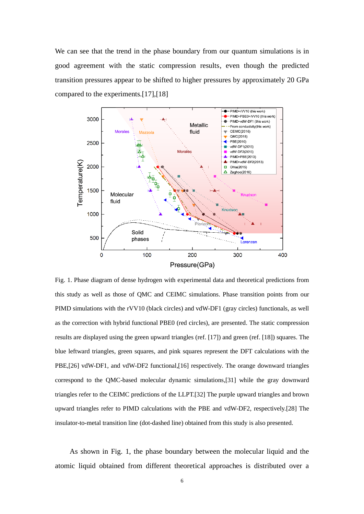We can see that the trend in the phase boundary from our quantum simulations is in good agreement with the static compression results, even though the predicted transition pressures appear to be shifted to higher pressures by approximately 20 GPa compared to the experiments[.\[17\]](#page-12-12)[,\[18\]](#page-12-11)



Fig. 1. Phase diagram of dense hydrogen with experimental data and theoretical predictions from this study as well as those of QMC and CEIMC simulations. Phase transition points from our PIMD simulations with the rVV10 (black circles) and vdW-DF1 (gray circles) functionals, as well as the correction with hybrid functional PBE0 (red circles), are presented. The static compression results are displayed using the green upward triangles (ref. [\[17\]\)](#page-12-12) and green (ref. [\[18\]\)](#page-12-11) squares. The blue leftward triangles, green squares, and pink squares represent the DFT calculations with the PBE[,\[26\]](#page-12-17) vdW-DF1, and vdW-DF2 functional[,\[16\]](#page-12-10) respectively. The orange downward triangles correspond to the QMC-based molecular dynamic simulations[,\[31\]](#page-13-7) while the gray downward triangles refer to the CEIMC predictions of the LLP[T.\[32\]](#page-13-8) The purple upward triangles and brown upward triangles refer to PIMD calculations with the PBE and vdW-DF2, respectivel[y.\[28\]](#page-12-14) The insulator-to-metal transition line (dot-dashed line) obtained from this study is also presented.

As shown in Fig. 1, the phase boundary between the molecular liquid and the atomic liquid obtained from different theoretical approaches is distributed over a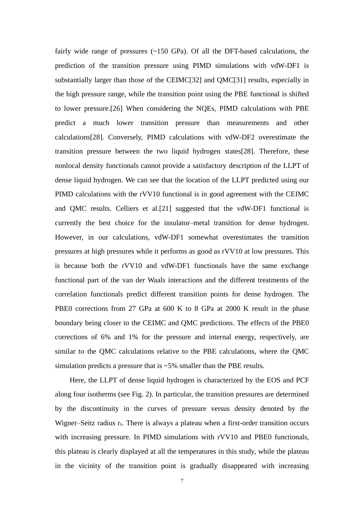fairly wide range of pressures  $(-150 \text{ GPa})$ . Of all the DFT-based calculations, the prediction of the transition pressure using PIMD simulations with vdW-DF1 is substantially larger than those of the CEIM[C\[32\]](#page-13-8) and QM[C\[31\]](#page-13-7) results, especially in the high pressure range, while the transition point using the PBE functional is shifted to lower pressure[.\[26\]](#page-12-17) When considering the NQEs, PIMD calculations with PBE predict a much lower transition pressure than measurements and other calculation[s\[28\].](#page-12-14) Conversely, PIMD calculations with vdW-DF2 overestimate the transition pressure between the two liquid hydrogen state[s\[28\].](#page-12-14) Therefore, these nonlocal density functionals cannot provide a satisfactory description of the LLPT of dense liquid hydrogen. We can see that the location of the LLPT predicted using our PIMD calculations with the rVV10 functional is in good agreement with the CEIMC and QMC results. Celliers et al[.\[21\]](#page-12-9) suggested that the vdW-DF1 functional is currently the best choice for the insulator–metal transition for dense hydrogen. However, in our calculations, vdW-DF1 somewhat overestimates the transition pressures at high pressures while it performs as good as rVV10 at low pressures. This is because both the rVV10 and vdW-DF1 functionals have the same exchange functional part of the van der Waals interactions and the different treatments of the correlation functionals predict different transition points for dense hydrogen. The PBE0 corrections from 27 GPa at 600 K to 8 GPa at 2000 K result in the phase boundary being closer to the CEIMC and QMC predictions. The effects of the PBE0 corrections of 6% and 1% for the pressure and internal energy, respectively, are similar to the QMC calculations relative to the PBE calculations, where the QMC simulation predicts a pressure that is ~5% smaller than the PBE results.

Here, the LLPT of dense liquid hydrogen is characterized by the EOS and PCF along four isotherms (see Fig. 2). In particular, the transition pressures are determined by the discontinuity in the curves of pressure versus density denoted by the Wigner–Seitz radius r<sub>s</sub>. There is always a plateau when a first-order transition occurs with increasing pressure. In PIMD simulations with rVV10 and PBE0 functionals, this plateau is clearly displayed at all the temperatures in this study, while the plateau in the vicinity of the transition point is gradually disappeared with increasing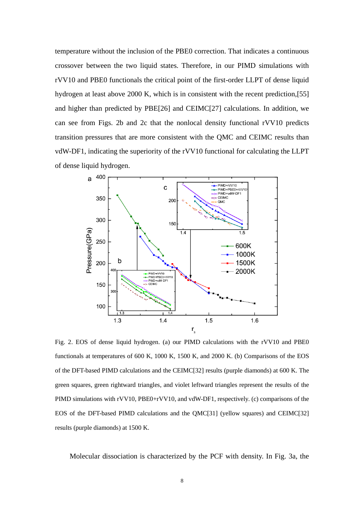temperature without the inclusion of the PBE0 correction. That indicates a continuous crossover between the two liquid states. Therefore, in our PIMD simulations with rVV10 and PBE0 functionals the critical point of the first-order LLPT of dense liquid hydrogen at least above 2000 K, which is in consistent with the recent prediction[,\[55\]](#page-14-2) and higher than predicted by PB[E\[26\]](#page-12-17) and CEIM[C\[27\]](#page-12-16) calculations. In addition, we can see from Figs. 2b and 2c that the nonlocal density functional rVV10 predicts transition pressures that are more consistent with the QMC and CEIMC results than vdW-DF1, indicating the superiority of the rVV10 functional for calculating the LLPT of dense liquid hydrogen.



Fig. 2. EOS of dense liquid hydrogen. (a) our PIMD calculations with the rVV10 and PBE0 functionals at temperatures of 600 K, 1000 K, 1500 K, and 2000 K. (b) Comparisons of the EOS of the DFT-based PIMD calculations and the CEIM[C\[32\]](#page-13-8) results (purple diamonds) at 600 K. The green squares, green rightward triangles, and violet leftward triangles represent the results of the PIMD simulations with rVV10, PBE0+rVV10, and vdW-DF1, respectively. (c) comparisons of the EOS of the DFT-based PIMD calculations and the QM[C\[31\]](#page-13-7) (yellow squares) and CEIM[C\[32\]](#page-13-8) results (purple diamonds) at 1500 K.

Molecular dissociation is characterized by the PCF with density. In Fig. 3a, the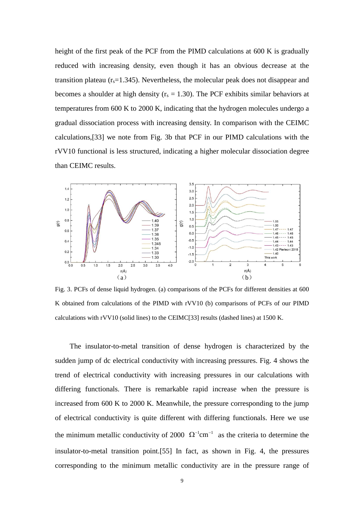height of the first peak of the PCF from the PIMD calculations at 600 K is gradually reduced with increasing density, even though it has an obvious decrease at the transition plateau  $(r_s=1.345)$ . Nevertheless, the molecular peak does not disappear and becomes a shoulder at high density ( $r_s = 1.30$ ). The PCF exhibits similar behaviors at temperatures from 600 K to 2000 K, indicating that the hydrogen molecules undergo a gradual dissociation process with increasing density. In comparison with the CEIMC calculations[,\[33\]](#page-13-0) we note from Fig. 3b that PCF in our PIMD calculations with the rVV10 functional is less structured, indicating a higher molecular dissociation degree than CEIMC results.



Fig. 3. PCFs of dense liquid hydrogen. (a) comparisons of the PCFs for different densities at 600 K obtained from calculations of the PIMD with rVV10 (b) comparisons of PCFs of our PIMD calculations with rVV10 (solid lines) to the CEIM[C\[33\]](#page-13-0) results (dashed lines) at 1500 K.

 The insulator-to-metal transition of dense hydrogen is characterized by the sudden jump of dc electrical conductivity with increasing pressures. Fig. 4 shows the trend of electrical conductivity with increasing pressures in our calculations with differing functionals. There is remarkable rapid increase when the pressure is increased from 600 K to 2000 K. Meanwhile, the pressure corresponding to the jump of electrical conductivity is quite different with differing functionals. Here we use the minimum metallic conductivity of 2000  $\Omega^{-1}$ cm<sup>-1</sup> as the criteria to determine the insulator-to-metal transition point[.\[55\]](#page-14-2) In fact, as shown in Fig. 4, the pressures corresponding to the minimum metallic conductivity are in the pressure range of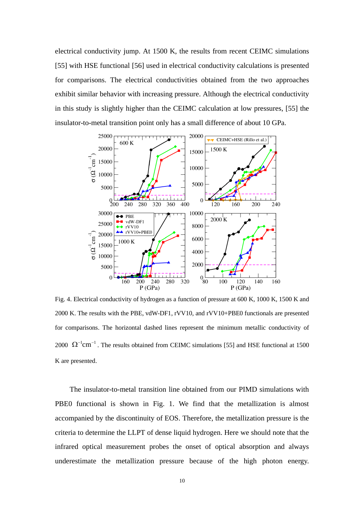electrical conductivity jump. At 1500 K, the results from recent CEIMC simulations [\[55\]](#page-14-2) with HSE functional [\[56\]](#page-14-3) used in electrical conductivity calculations is presented for comparisons. The electrical conductivities obtained from the two approaches exhibit similar behavior with increasing pressure. Although the electrical conductivity in this study is slightly higher than the CEIMC calculation at low pressures, [\[55\]](#page-14-2) the insulator-to-metal transition point only has a small difference of about 10 GPa.



Fig. 4. Electrical conductivity of hydrogen as a function of pressure at 600 K, 1000 K, 1500 K and 2000 K. The results with the PBE, vdW-DF1, rVV10, and rVV10+PBE0 functionals are presented for comparisons. The horizontal dashed lines represent the minimum metallic conductivity of 2000  $\Omega^{-1}$ cm<sup>-1</sup>. The results obtained from CEIMC simulations [\[55\]](#page-14-2) and HSE functional at 1500 K are presented.

The insulator-to-metal transition line obtained from our PIMD simulations with PBE0 functional is shown in Fig. 1. We find that the metallization is almost accompanied by the discontinuity of EOS. Therefore, the metallization pressure is the criteria to determine the LLPT of dense liquid hydrogen. Here we should note that the infrared optical measurement probes the onset of optical absorption and always underestimate the metallization pressure because of the high photon energy.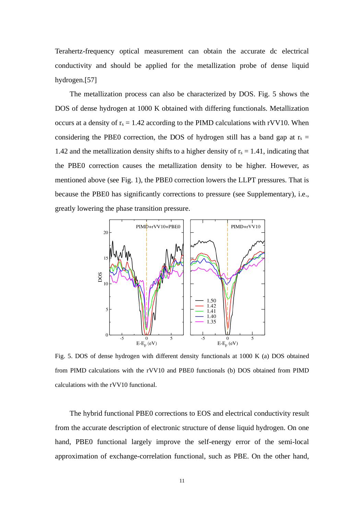Terahertz-frequency optical measurement can obtain the accurate dc electrical conductivity and should be applied for the metallization probe of dense liquid hydrogen[.\[57\]](#page-14-4)

The metallization process can also be characterized by DOS. Fig. 5 shows the DOS of dense hydrogen at 1000 K obtained with differing functionals. Metallization occurs at a density of  $r_s = 1.42$  according to the PIMD calculations with rVV10. When considering the PBE0 correction, the DOS of hydrogen still has a band gap at  $r_s$  = 1.42 and the metallization density shifts to a higher density of  $r_s = 1.41$ , indicating that the PBE0 correction causes the metallization density to be higher. However, as mentioned above (see Fig. 1), the PBE0 correction lowers the LLPT pressures. That is because the PBE0 has significantly corrections to pressure (see Supplementary), i.e., greatly lowering the phase transition pressure.



Fig. 5. DOS of dense hydrogen with different density functionals at 1000 K (a) DOS obtained from PIMD calculations with the rVV10 and PBE0 functionals (b) DOS obtained from PIMD calculations with the rVV10 functional.

The hybrid functional PBE0 corrections to EOS and electrical conductivity result from the accurate description of electronic structure of dense liquid hydrogen. On one hand, PBE0 functional largely improve the self-energy error of the semi-local approximation of exchange-correlation functional, such as PBE. On the other hand,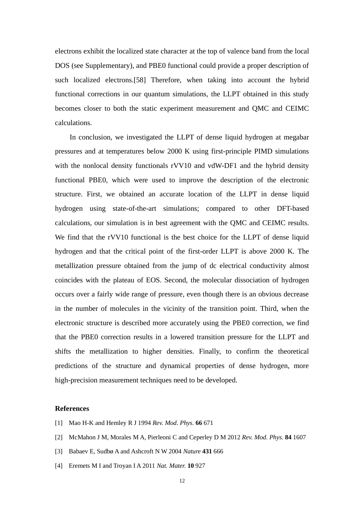electrons exhibit the localized state character at the top of valence band from the local DOS (see Supplementary), and PBE0 functional could provide a proper description of such localized electrons[.\[58\]](#page-14-5) Therefore, when taking into account the hybrid functional corrections in our quantum simulations, the LLPT obtained in this study becomes closer to both the static experiment measurement and QMC and CEIMC calculations.

In conclusion, we investigated the LLPT of dense liquid hydrogen at megabar pressures and at temperatures below 2000 K using first-principle PIMD simulations with the nonlocal density functionals rVV10 and vdW-DF1 and the hybrid density functional PBE0, which were used to improve the description of the electronic structure. First, we obtained an accurate location of the LLPT in dense liquid hydrogen using state-of-the-art simulations; compared to other DFT-based calculations, our simulation is in best agreement with the QMC and CEIMC results. We find that the rVV10 functional is the best choice for the LLPT of dense liquid hydrogen and that the critical point of the first-order LLPT is above 2000 K. The metallization pressure obtained from the jump of dc electrical conductivity almost coincides with the plateau of EOS. Second, the molecular dissociation of hydrogen occurs over a fairly wide range of pressure, even though there is an obvious decrease in the number of molecules in the vicinity of the transition point. Third, when the electronic structure is described more accurately using the PBE0 correction, we find that the PBE0 correction results in a lowered transition pressure for the LLPT and shifts the metallization to higher densities. Finally, to confirm the theoretical predictions of the structure and dynamical properties of dense hydrogen, more high-precision measurement techniques need to be developed.

## **References**

- <span id="page-11-0"></span>[1] Mao H-K and Hemley R J 1994 *Rev. Mod. Phys.* **66** 671
- <span id="page-11-1"></span>[2] McMahon J M, Morales M A, Pierleoni C and Ceperley D M 2012 *Rev. Mod. Phys.* **84** 1607
- <span id="page-11-2"></span>[3] Babaev E, SudbøA and Ashcroft N W 2004 *Nature* **431** 666
- <span id="page-11-3"></span>[4] Eremets M I and Troyan I A 2011 *Nat. Mater.* **10** 927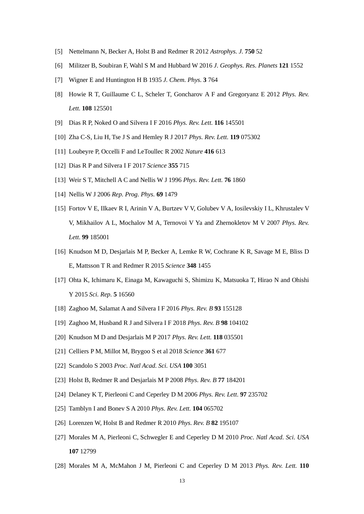- <span id="page-12-0"></span>[5] Nettelmann N, Becker A, Holst B and Redmer R 2012 *Astrophys. J.* **750** 52
- <span id="page-12-1"></span>[6] Militzer B, Soubiran F, Wahl S M and Hubbard W 2016 *J. Geophys. Res. Planets* **121** 1552
- <span id="page-12-2"></span>[7] Wigner E and Huntington H B 1935 *J. Chem. Phys.* **3** 764
- <span id="page-12-3"></span>[8] Howie R T, Guillaume C L, Scheler T, Goncharov A F and Gregoryanz E 2012 *Phys. Rev. Lett.* **108** 125501
- <span id="page-12-4"></span>[9] Dias R P, Noked O and Silvera I F 2016 *Phys. Rev. Lett.* **116** 145501
- <span id="page-12-5"></span>[10] Zha C-S, Liu H, Tse J S and Hemley R J 2017 *Phys. Rev. Lett.* **119** 075302
- <span id="page-12-6"></span>[11] Loubeyre P, Occelli F and LeToullec R 2002 *Nature* **416** 613
- <span id="page-12-7"></span>[12] Dias R P and Silvera I F 2017 *Science* **355** 715
- <span id="page-12-8"></span>[13] Weir S T, Mitchell A C and Nellis W J 1996 *Phys. Rev. Lett.* **76** 1860
- [14] Nellis W J 2006 *Rep. Prog. Phys.* **69** 1479
- [15] Fortov V E, IIkaev R I, Arinin V A, Burtzev V V, Golubev V A, Iosilevskiy I L, Khrustalev V V, Mikhailov A L, Mochalov M A, Ternovoi V Ya and Zhernokletov M V 2007 *Phys. Rev. Lett.* **99** 185001
- <span id="page-12-10"></span>[16] Knudson M D, Desjarlais M P, Becker A, Lemke R W, Cochrane K R, Savage M E, Bliss D E, Mattsson T R and Redmer R 2015 *Science* **348** 1455
- <span id="page-12-12"></span>[17] Ohta K, Ichimaru K, Einaga M, Kawaguchi S, Shimizu K, Matsuoka T, Hirao N and Ohishi Y 2015 *Sci. Rep.* **5** 16560
- <span id="page-12-11"></span>[18] Zaghoo M, Salamat A and Silvera I F 2016 *Phys. Rev. B* **93** 155128
- [19] Zaghoo M, Husband R J and Silvera I F 2018 *Phys. Rev. B* **98** 104102
- <span id="page-12-15"></span>[20] Knudson M D and Desjarlais M P 2017 *Phys. Rev. Lett.* **118** 035501
- <span id="page-12-9"></span>[21] Celliers P M, Millot M, Brygoo S et al 2018 *Science* **361** 677
- <span id="page-12-13"></span>[22] Scandolo S 2003 *Proc. Natl Acad. Sci. USA* **100** 3051
- [23] Holst B, Redmer R and Desjarlais M P 2008 *Phys. Rev. B* **77** 184201
- [24] Delaney K T, Pierleoni C and Ceperley D M 2006 *Phys. Rev. Lett.* **97** 235702
- [25] Tamblyn I and Bonev S A 2010 *Phys. Rev. Lett.* **104** 065702
- <span id="page-12-17"></span>[26] Lorenzen W, Holst B and Redmer R 2010 *Phys. Rev. B* **82** 195107
- <span id="page-12-16"></span>[27] Morales M A, Pierleoni C, Schwegler E and Ceperley D M 2010 *Proc. Natl Acad. Sci. USA* **107** 12799
- <span id="page-12-14"></span>[28] Morales M A, McMahon J M, Pierleoni C and Ceperley D M 2013 *Phys. Rev. Lett.* **110**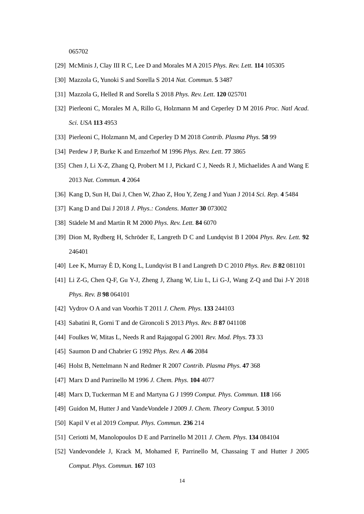065702

- [29] McMinis J, Clay III R C, Lee D and Morales M A 2015 *Phys. Rev. Lett.* **114** 105305
- <span id="page-13-13"></span>[30] Mazzola G, Yunoki S and Sorella S 2014 *Nat. Commun.* **5** 3487
- <span id="page-13-7"></span>[31] Mazzola G, Helled R and Sorella S 2018 *Phys. Rev. Lett.* **120** 025701
- <span id="page-13-8"></span>[32] Pierleoni C, Morales M A, Rillo G, Holzmann M and Ceperley D M 2016 *Proc. Natl Acad. Sci. USA* **113** 4953
- <span id="page-13-0"></span>[33] Pierleoni C, Holzmann M, and Ceperley D M 2018 *Contrib. Plasma Phys.* **58** 99
- <span id="page-13-1"></span>[34] Perdew J P, Burke K and Ernzerhof M 1996 *Phys. Rev. Lett.* **77** 3865
- <span id="page-13-2"></span>[35] Chen J, Li X-Z, Zhang Q, Probert M I J, Pickard C J, Needs R J, Michaelides A and Wang E 2013 *Nat. Commun.* **4** 2064
- [36] Kang D, Sun H, Dai J, Chen W, Zhao Z, Hou Y, Zeng J and Yuan J 2014 *Sci. Rep.* **4** 5484
- <span id="page-13-3"></span>[37] Kang D and Dai J 2018 *J. Phys.: Condens. Matter* **30** 073002
- <span id="page-13-4"></span>[38] Städele M and Martin R M 2000 *Phys. Rev. Lett.* **84** 6070
- <span id="page-13-5"></span>[39] Dion M, Rydberg H, Schröder E, Langreth D C and Lundqvist B I 2004 *Phys. Rev. Lett.* **92** 246401
- <span id="page-13-6"></span>[40] Lee K, Murray ÈD, Kong L, Lundqvist B I and Langreth D C 2010 *Phys. Rev. B* **82** 081101
- <span id="page-13-9"></span>[41] Li Z-G, Chen Q-F, Gu Y-J, Zheng J, Zhang W, Liu L, Li G-J, Wang Z-Q and Dai J-Y 2018 *Phys. Rev. B* **98** 064101
- <span id="page-13-10"></span>[42] Vydrov O A and van Voorhis T 2011 *J. Chem. Phys.* **133** 244103
- <span id="page-13-11"></span>[43] Sabatini R, Gorni T and de Gironcoli S 2013 *Phys. Rev. B* **87** 041108
- <span id="page-13-12"></span>[44] Foulkes W, Mitas L, Needs R and Rajagopal G 2001 *Rev. Mod. Phys.* **73** 33
- <span id="page-13-14"></span>[45] Saumon D and Chabrier G 1992 *Phys. Rev. A* **46** 2084
- <span id="page-13-15"></span>[46] Holst B, Nettelmann N and Redmer R 2007 *Contrib. Plasma Phys.* **47** 368
- <span id="page-13-16"></span>[47] Marx D and Parrinello M 1996 *J. Chem. Phys.* **104** 4077
- <span id="page-13-17"></span>[48] Marx D, Tuckerman M E and Martyna G J 1999 *Comput. Phys. Commun.* **118** 166
- <span id="page-13-18"></span>[49] Guidon M, Hutter J and VandeVondele J 2009 *J. Chem. Theory Comput.* **5** 3010
- <span id="page-13-19"></span>[50] Kapil V et al 2019 *Comput. Phys. Commun.* **236** 214
- <span id="page-13-20"></span>[51] Ceriotti M, Manolopoulos D E and Parrinello M 2011 *J. Chem. Phys*. **134** 084104
- <span id="page-13-21"></span>[52] Vandevondele J, Krack M, Mohamed F, Parrinello M, Chassaing T and Hutter J 2005 *Comput. Phys. Commun.* **167** 103